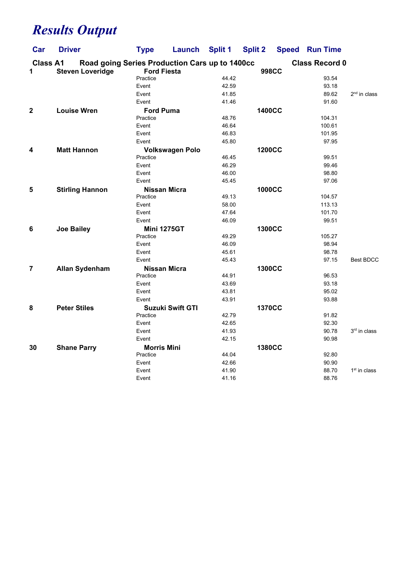## Results Output

| Car                  | <b>Driver</b>                                                             | <b>Type</b>         | Launch                  | <b>Split 1</b> | <b>Split 2</b> | <b>Speed</b> | <b>Run Time</b>       |                  |
|----------------------|---------------------------------------------------------------------------|---------------------|-------------------------|----------------|----------------|--------------|-----------------------|------------------|
| <b>Class A1</b><br>1 | Road going Series Production Cars up to 1400cc<br><b>Steven Loveridge</b> | <b>Ford Fiesta</b>  |                         |                | <b>998CC</b>   |              | <b>Class Record 0</b> |                  |
|                      |                                                                           | Practice            |                         | 44.42          |                |              | 93.54                 |                  |
|                      |                                                                           | Event               |                         | 42.59          |                |              | 93.18                 |                  |
|                      |                                                                           | Event               |                         | 41.85          |                |              | 89.62                 | $2nd$ in class   |
|                      |                                                                           | Event               |                         | 41.46          |                |              | 91.60                 |                  |
| $\mathbf 2$          | <b>Louise Wren</b>                                                        | <b>Ford Puma</b>    |                         |                | <b>1400CC</b>  |              |                       |                  |
|                      |                                                                           | Practice            |                         | 48.76          |                |              | 104.31                |                  |
|                      |                                                                           | Event               |                         | 46.64          |                |              | 100.61                |                  |
|                      |                                                                           | Event               |                         | 46.83          |                |              | 101.95                |                  |
|                      |                                                                           | Event               |                         | 45.80          |                |              | 97.95                 |                  |
| 4                    | <b>Matt Hannon</b>                                                        |                     | <b>Volkswagen Polo</b>  |                | <b>1200CC</b>  |              |                       |                  |
|                      |                                                                           | Practice            |                         | 46.45          |                |              | 99.51                 |                  |
|                      |                                                                           | Event               |                         | 46.29          |                |              | 99.46                 |                  |
|                      |                                                                           | Event               |                         | 46.00          |                |              | 98.80                 |                  |
|                      |                                                                           | Event               |                         | 45.45          |                |              | 97.06                 |                  |
| 5                    | <b>Stirling Hannon</b>                                                    | Nissan Micra        |                         |                | <b>1000CC</b>  |              |                       |                  |
|                      |                                                                           | Practice            |                         | 49.13          |                |              | 104.57                |                  |
|                      |                                                                           | Event               |                         | 58.00          |                |              | 113.13                |                  |
|                      |                                                                           | Event               |                         | 47.64          |                |              | 101.70                |                  |
|                      |                                                                           | Event               |                         | 46.09          |                |              | 99.51                 |                  |
| 6                    | <b>Joe Bailey</b>                                                         | <b>Mini 1275GT</b>  |                         |                | <b>1300CC</b>  |              |                       |                  |
|                      |                                                                           | Practice            |                         | 49.29          |                |              | 105.27                |                  |
|                      |                                                                           | Event               |                         | 46.09          |                |              | 98.94                 |                  |
|                      |                                                                           | Event               |                         | 45.61          |                |              | 98.78                 |                  |
|                      |                                                                           | Event               |                         | 45.43          |                |              | 97.15                 | <b>Best BDCC</b> |
| 7                    | <b>Allan Sydenham</b>                                                     | <b>Nissan Micra</b> |                         |                | <b>1300CC</b>  |              |                       |                  |
|                      |                                                                           | Practice            |                         | 44.91          |                |              | 96.53                 |                  |
|                      |                                                                           | Event               |                         | 43.69          |                |              | 93.18                 |                  |
|                      |                                                                           | Event               |                         | 43.81          |                |              | 95.02                 |                  |
|                      |                                                                           | Event               |                         | 43.91          |                |              | 93.88                 |                  |
| 8                    | <b>Peter Stiles</b>                                                       |                     | <b>Suzuki Swift GTI</b> |                | <b>1370CC</b>  |              |                       |                  |
|                      |                                                                           | Practice            |                         | 42.79          |                |              | 91.82                 |                  |
|                      |                                                                           | Event               |                         | 42.65          |                |              | 92.30                 |                  |
|                      |                                                                           | Event               |                         | 41.93          |                |              | 90.78                 | $3rd$ in class   |
|                      |                                                                           | Event               |                         | 42.15          |                |              | 90.98                 |                  |
| 30                   | <b>Shane Parry</b>                                                        | <b>Morris Mini</b>  |                         |                | <b>1380CC</b>  |              |                       |                  |
|                      |                                                                           | Practice            |                         | 44.04          |                |              | 92.80                 |                  |
|                      |                                                                           | Event               |                         | 42.66          |                |              | 90.90                 |                  |
|                      |                                                                           | Event               |                         | 41.90          |                |              | 88.70                 | $1st$ in class   |
|                      |                                                                           | Event               |                         | 41.16          |                |              | 88.76                 |                  |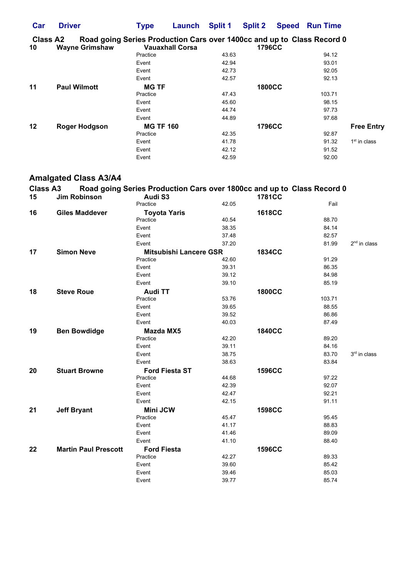| Car                   | <b>Driver</b>                                                                                   | <b>Type</b>      | Launch                 | Split 1 | <b>Split 2</b> | <b>Speed Run Time</b> |                   |
|-----------------------|-------------------------------------------------------------------------------------------------|------------------|------------------------|---------|----------------|-----------------------|-------------------|
| <b>Class A2</b><br>10 | Road going Series Production Cars over 1400cc and up to Class Record 0<br><b>Wayne Grimshaw</b> |                  | <b>Vauaxhall Corsa</b> |         | <b>1796CC</b>  |                       |                   |
|                       |                                                                                                 | Practice         |                        | 43.63   |                | 94.12                 |                   |
|                       |                                                                                                 |                  |                        |         |                |                       |                   |
|                       |                                                                                                 | Event            |                        | 42.94   |                | 93.01                 |                   |
|                       |                                                                                                 | Event            |                        | 42.73   |                | 92.05                 |                   |
|                       |                                                                                                 | Event            |                        | 42.57   |                | 92.13                 |                   |
| 11                    | <b>Paul Wilmott</b>                                                                             | <b>MG TF</b>     |                        |         | <b>1800CC</b>  |                       |                   |
|                       |                                                                                                 | Practice         |                        | 47.43   |                | 103.71                |                   |
|                       |                                                                                                 | Event            |                        | 45.60   |                | 98.15                 |                   |
|                       |                                                                                                 | Event            |                        | 44.74   |                | 97.73                 |                   |
|                       |                                                                                                 | Event            |                        | 44.89   |                | 97.68                 |                   |
| 12                    | <b>Roger Hodgson</b>                                                                            | <b>MG TF 160</b> |                        |         | <b>1796CC</b>  |                       | <b>Free Entry</b> |
|                       |                                                                                                 | Practice         |                        | 42.35   |                | 92.87                 |                   |
|                       |                                                                                                 | Event            |                        | 41.78   |                | 91.32                 | $1st$ in class    |
|                       |                                                                                                 | Event            |                        | 42.12   |                | 91.52                 |                   |
|                       |                                                                                                 | Event            |                        | 42.59   |                | 92.00                 |                   |

## Amalgated Class A3/A4

| <b>Class A3</b><br>15 | <b>Jim Robinson</b>         | Road going Series Production Cars over 1800cc and up to Class Record 0<br>Audi S3 |       | <b>1781CC</b> |        |                          |
|-----------------------|-----------------------------|-----------------------------------------------------------------------------------|-------|---------------|--------|--------------------------|
|                       |                             | Practice                                                                          | 42.05 |               | Fail   |                          |
| 16                    | <b>Giles Maddever</b>       | <b>Toyota Yaris</b>                                                               |       | <b>1618CC</b> |        |                          |
|                       |                             | Practice                                                                          | 40.54 |               | 88.70  |                          |
|                       |                             | Event                                                                             | 38.35 |               | 84.14  |                          |
|                       |                             | Event                                                                             | 37.48 |               | 82.57  |                          |
|                       |                             | Event                                                                             | 37.20 |               | 81.99  | $2nd$ in class           |
| 17                    | <b>Simon Neve</b>           | <b>Mitsubishi Lancere GSR</b>                                                     |       | <b>1834CC</b> |        |                          |
|                       |                             | Practice                                                                          | 42.60 |               | 91.29  |                          |
|                       |                             | Event                                                                             | 39.31 |               | 86.35  |                          |
|                       |                             | Event                                                                             | 39.12 |               | 84.98  |                          |
|                       |                             | Event                                                                             | 39.10 |               | 85.19  |                          |
| 18                    | <b>Steve Roue</b>           | <b>Audi TT</b>                                                                    |       | <b>1800CC</b> |        |                          |
|                       |                             | Practice                                                                          | 53.76 |               | 103.71 |                          |
|                       |                             | Event                                                                             | 39.65 |               | 88.55  |                          |
|                       |                             | Event                                                                             | 39.52 |               | 86.86  |                          |
|                       |                             | Event                                                                             | 40.03 |               | 87.49  |                          |
| 19                    | <b>Ben Bowdidge</b>         | <b>Mazda MX5</b>                                                                  |       | <b>1840CC</b> |        |                          |
|                       |                             | Practice                                                                          | 42.20 |               | 89.20  |                          |
|                       |                             | Event                                                                             | 39.11 |               | 84.16  |                          |
|                       |                             | Event                                                                             | 38.75 |               | 83.70  | 3 <sup>rd</sup> in class |
|                       |                             | Event                                                                             | 38.63 |               | 83.84  |                          |
| 20                    | <b>Stuart Browne</b>        | <b>Ford Fiesta ST</b>                                                             |       | <b>1596CC</b> |        |                          |
|                       |                             | Practice                                                                          | 44.68 |               | 97.22  |                          |
|                       |                             | Event                                                                             | 42.39 |               | 92.07  |                          |
|                       |                             | Event                                                                             | 42.47 |               | 92.21  |                          |
|                       |                             | Event                                                                             | 42.15 |               | 91.11  |                          |
| 21                    | <b>Jeff Bryant</b>          | <b>Mini JCW</b>                                                                   |       | <b>1598CC</b> |        |                          |
|                       |                             | Practice                                                                          | 45.47 |               | 95.45  |                          |
|                       |                             | Event                                                                             | 41.17 |               | 88.83  |                          |
|                       |                             | Event                                                                             | 41.46 |               | 89.09  |                          |
|                       |                             | Event                                                                             | 41.10 |               | 88.40  |                          |
| 22                    | <b>Martin Paul Prescott</b> | <b>Ford Fiesta</b>                                                                |       | <b>1596CC</b> |        |                          |
|                       |                             | Practice                                                                          | 42.27 |               | 89.33  |                          |
|                       |                             | Event                                                                             | 39.60 |               | 85.42  |                          |
|                       |                             | Event                                                                             | 39.46 |               | 85.03  |                          |
|                       |                             | Event                                                                             | 39.77 |               | 85.74  |                          |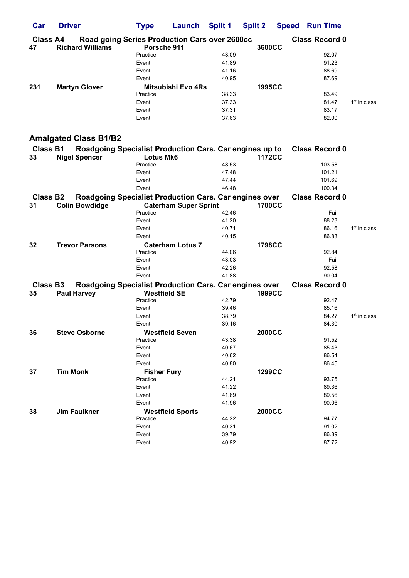| Car                        | <b>Driver</b>                                                                   | <b>Type</b>                  | Launch                       | <b>Split 1</b> | <b>Split 2</b> | <b>Speed Run Time</b> |                          |
|----------------------------|---------------------------------------------------------------------------------|------------------------------|------------------------------|----------------|----------------|-----------------------|--------------------------|
| <b>Class A4</b><br>47      | Road going Series Production Cars over 2600cc<br><b>Richard Williams</b>        | Porsche 911                  |                              |                | 3600CC         | <b>Class Record 0</b> |                          |
|                            |                                                                                 | Practice                     |                              | 43.09          |                | 92.07                 |                          |
|                            |                                                                                 | Event                        |                              | 41.89          |                | 91.23                 |                          |
|                            |                                                                                 | Event                        |                              | 41.16          |                | 88.69                 |                          |
|                            |                                                                                 | Event                        |                              | 40.95          |                | 87.69                 |                          |
| 231                        | <b>Martyn Glover</b>                                                            |                              | Mitsubishi Evo 4Rs           |                | <b>1995CC</b>  |                       |                          |
|                            |                                                                                 | Practice                     |                              | 38.33          |                | 83.49                 |                          |
|                            |                                                                                 | Event                        |                              | 37.33          |                | 81.47                 | 1 <sup>st</sup> in class |
|                            |                                                                                 | Event                        |                              | 37.31          |                | 83.17                 |                          |
|                            |                                                                                 | Event                        |                              | 37.63          |                | 82.00                 |                          |
|                            | <b>Amalgated Class B1/B2</b>                                                    |                              |                              |                |                |                       |                          |
| <b>Class B1</b>            | Roadgoing Specialist Production Cars. Car engines up to                         |                              |                              |                | <b>1172CC</b>  | <b>Class Record 0</b> |                          |
| 33                         | <b>Nigel Spencer</b>                                                            | <b>Lotus Mk6</b><br>Practice |                              | 48.53          |                | 103.58                |                          |
|                            |                                                                                 | Event                        |                              | 47.48          |                | 101.21                |                          |
|                            |                                                                                 | Event                        |                              | 47.44          |                | 101.69                |                          |
|                            |                                                                                 | Event                        |                              | 46.48          |                | 100.34                |                          |
|                            |                                                                                 |                              |                              |                |                | <b>Class Record 0</b> |                          |
| Class B <sub>2</sub><br>31 | Roadgoing Specialist Production Cars. Car engines over<br><b>Colin Bowdidge</b> |                              | <b>Caterham Super Sprint</b> |                | <b>1700CC</b>  |                       |                          |
|                            |                                                                                 | Practice                     |                              | 42.46          |                | Fail                  |                          |
|                            |                                                                                 | Event                        |                              | 41.20          |                | 88.23                 |                          |
|                            |                                                                                 | Event                        |                              | 40.71          |                | 86.16                 | $1st$ in class           |
|                            |                                                                                 | Event                        |                              | 40.15          |                | 86.83                 |                          |
| 32                         | <b>Trevor Parsons</b>                                                           |                              | <b>Caterham Lotus 7</b>      |                | <b>1798CC</b>  |                       |                          |
|                            |                                                                                 | Practice                     |                              | 44.06          |                | 92.84                 |                          |
|                            |                                                                                 | Event                        |                              | 43.03          |                | Fail                  |                          |
|                            |                                                                                 | Event                        |                              | 42.26          |                | 92.58                 |                          |
|                            |                                                                                 | Event                        |                              | 41.88          |                | 90.04                 |                          |
| Class B <sub>3</sub>       | <b>Roadgoing Specialist Production Cars. Car engines over</b>                   |                              |                              |                |                | <b>Class Record 0</b> |                          |
| 35                         | <b>Paul Harvey</b>                                                              | <b>Westfield SE</b>          |                              |                | <b>1999CC</b>  |                       |                          |
|                            |                                                                                 | Practice                     |                              | 42.79          |                | 92.47                 |                          |
|                            |                                                                                 | Event                        |                              | 39.46          |                | 85.16                 |                          |
|                            |                                                                                 | Event                        |                              | 38.79          |                | 84.27                 | $1st$ in class           |
|                            |                                                                                 | Event                        |                              | 39.16          |                | 84.30                 |                          |
| 36                         | <b>Steve Osborne</b>                                                            | <b>Westfield Seven</b>       |                              |                | <b>2000CC</b>  |                       |                          |
|                            |                                                                                 | Practice                     |                              | 43.38          |                | 91.52                 |                          |
|                            |                                                                                 | Event                        |                              | 40.67          |                | 85.43                 |                          |
|                            |                                                                                 | Event                        |                              | 40.62          |                | 86.54                 |                          |
|                            |                                                                                 | Event                        |                              | 40.80          |                | 86.45                 |                          |
| 37                         | <b>Tim Monk</b>                                                                 | <b>Fisher Fury</b>           |                              |                | <b>1299CC</b>  |                       |                          |
|                            |                                                                                 | Practice                     |                              | 44.21          |                | 93.75                 |                          |
|                            |                                                                                 | Event                        |                              | 41.22          |                | 89.36                 |                          |
|                            |                                                                                 | Event                        |                              | 41.69          |                | 89.56                 |                          |
|                            |                                                                                 | Event                        |                              | 41.96          |                | 90.06                 |                          |
| 38                         | <b>Jim Faulkner</b>                                                             |                              | <b>Westfield Sports</b>      |                | <b>2000CC</b>  |                       |                          |
|                            |                                                                                 | Practice                     |                              | 44.22          |                | 94.77                 |                          |
|                            |                                                                                 | Event                        |                              | 40.31          |                | 91.02                 |                          |
|                            |                                                                                 | Event                        |                              | 39.79          |                | 86.89                 |                          |
|                            |                                                                                 | Event                        |                              | 40.92          |                | 87.72                 |                          |
|                            |                                                                                 |                              |                              |                |                |                       |                          |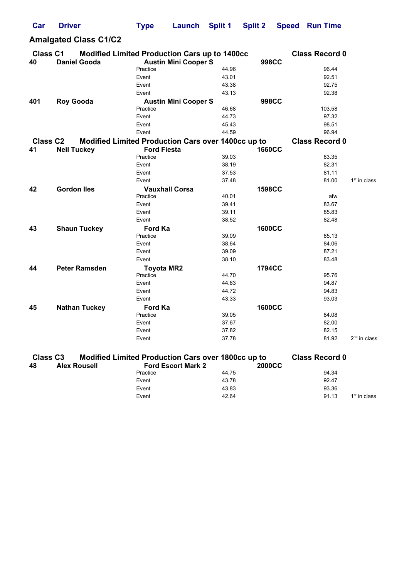| Car                   | <b>Driver</b>                                                        | <b>Type</b>        | Launch                      | <b>Split 1</b> | <b>Split 2</b> | <b>Speed</b> | <b>Run Time</b>       |                |
|-----------------------|----------------------------------------------------------------------|--------------------|-----------------------------|----------------|----------------|--------------|-----------------------|----------------|
|                       | <b>Amalgated Class C1/C2</b>                                         |                    |                             |                |                |              |                       |                |
| <b>Class C1</b><br>40 | Modified Limited Production Cars up to 1400cc<br><b>Daniel Gooda</b> |                    | <b>Austin Mini Cooper S</b> |                | <b>998CC</b>   |              | <b>Class Record 0</b> |                |
|                       |                                                                      | Practice           |                             | 44.96          |                |              | 96.44                 |                |
|                       |                                                                      | Event              |                             | 43.01          |                |              | 92.51                 |                |
|                       |                                                                      | Event              |                             | 43.38          |                |              | 92.75                 |                |
|                       |                                                                      | Event              |                             | 43.13          |                |              | 92.38                 |                |
| 401                   | <b>Roy Gooda</b>                                                     |                    | <b>Austin Mini Cooper S</b> |                | <b>998CC</b>   |              |                       |                |
|                       |                                                                      | Practice           |                             | 46.68          |                |              | 103.58                |                |
|                       |                                                                      | Event              |                             | 44.73          |                |              | 97.32                 |                |
|                       |                                                                      | Event              |                             | 45.43          |                |              | 98.51                 |                |
|                       |                                                                      | Event              |                             | 44.59          |                |              | 96.94                 |                |
| <b>Class C2</b>       | Modified Limited Production Cars over 1400cc up to                   |                    |                             |                |                |              | <b>Class Record 0</b> |                |
| 41                    | <b>Neil Tuckey</b>                                                   | <b>Ford Fiesta</b> |                             |                | <b>1660CC</b>  |              |                       |                |
|                       |                                                                      | Practice           |                             | 39.03          |                |              | 83.35                 |                |
|                       |                                                                      | Event              |                             | 38.19          |                |              | 82.31                 |                |
|                       |                                                                      | Event              |                             | 37.53          |                |              | 81.11                 |                |
|                       |                                                                      | Event              |                             | 37.48          |                |              | 81.00                 | $1st$ in class |
| 42                    | <b>Gordon lles</b>                                                   |                    | <b>Vauxhall Corsa</b>       |                | <b>1598CC</b>  |              |                       |                |
|                       |                                                                      | Practice           |                             | 40.01          |                |              | afw                   |                |
|                       |                                                                      | Event              |                             | 39.41          |                |              | 83.67                 |                |
|                       |                                                                      | Event              |                             | 39.11          |                |              | 85.83                 |                |
|                       |                                                                      | Event              |                             | 38.52          |                |              | 82.48                 |                |
| 43                    | <b>Shaun Tuckey</b>                                                  | Ford Ka            |                             |                | <b>1600CC</b>  |              |                       |                |
|                       |                                                                      | Practice           |                             | 39.09          |                |              | 85.13                 |                |
|                       |                                                                      | Event              |                             | 38.64          |                |              | 84.06                 |                |
|                       |                                                                      | Event              |                             | 39.09          |                |              | 87.21                 |                |
|                       |                                                                      | Event              |                             | 38.10          |                |              | 83.48                 |                |
| 44                    | <b>Peter Ramsden</b>                                                 | <b>Toyota MR2</b>  |                             |                | 1794CC         |              |                       |                |
|                       |                                                                      | Practice           |                             | 44.70          |                |              | 95.76                 |                |
|                       |                                                                      | Event              |                             | 44.83          |                |              | 94.87                 |                |
|                       |                                                                      | Event              |                             | 44.72          |                |              | 94.83                 |                |
|                       |                                                                      | Event              |                             | 43.33          |                |              | 93.03                 |                |
| 45                    | <b>Nathan Tuckey</b>                                                 | <b>Ford Ka</b>     |                             |                | <b>1600CC</b>  |              |                       |                |
|                       |                                                                      | Practice           |                             | 39.05          |                |              | 84.08                 |                |
|                       |                                                                      | Event              |                             | 37.67          |                |              | 82.00                 |                |
|                       |                                                                      | Event              |                             | 37.82          |                |              | 82.15                 |                |
|                       |                                                                      | Event              |                             | 37.78          |                |              | 81.92                 | $2nd$ in class |
| <b>Class C3</b>       | Modified Limited Production Cars over 1800cc up to                   |                    |                             |                |                |              | <b>Class Record 0</b> |                |

| 48 | <b>Alex Rousell</b> | <b>Ford Escort Mark 2</b> | <b>2000CC</b> |       |                          |
|----|---------------------|---------------------------|---------------|-------|--------------------------|
|    |                     | Practice                  | 44.75         | 94.34 |                          |
|    |                     | Event                     | 43.78         | 92.47 |                          |
|    |                     | Event                     | 43.83         | 93.36 |                          |
|    |                     | Event                     | 42.64         | 91.13 | 1 <sup>st</sup> in class |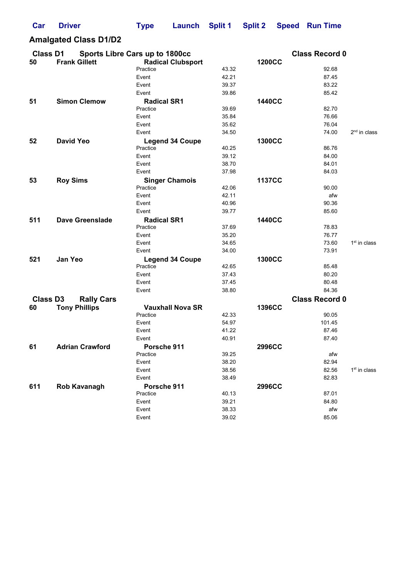| Car             | <b>Driver</b>                  | <b>Type</b>        | Launch                   | <b>Split 1</b> | <b>Split 2</b> | <b>Speed</b> | <b>Run Time</b>       |                |
|-----------------|--------------------------------|--------------------|--------------------------|----------------|----------------|--------------|-----------------------|----------------|
|                 | <b>Amalgated Class D1/D2</b>   |                    |                          |                |                |              |                       |                |
| <b>Class D1</b> | Sports Libre Cars up to 1800cc |                    |                          |                |                |              | <b>Class Record 0</b> |                |
| 50              | <b>Frank Gillett</b>           |                    | <b>Radical Clubsport</b> |                | <b>1200CC</b>  |              |                       |                |
|                 |                                | Practice           |                          | 43.32          |                |              | 92.68                 |                |
|                 |                                | Event              |                          | 42.21          |                |              | 87.45                 |                |
|                 |                                | Event              |                          | 39.37          |                |              | 83.22                 |                |
|                 |                                | Event              |                          | 39.86          |                |              | 85.42                 |                |
| 51              | <b>Simon Clemow</b>            | <b>Radical SR1</b> |                          |                | <b>1440CC</b>  |              |                       |                |
|                 |                                | Practice           |                          | 39.69          |                |              | 82.70                 |                |
|                 |                                | Event              |                          | 35.84          |                |              | 76.66                 |                |
|                 |                                | Event              |                          | 35.62          |                |              | 76.04                 |                |
|                 |                                | Event              |                          | 34.50          |                |              | 74.00                 | $2nd$ in class |
| 52              | <b>David Yeo</b>               |                    | <b>Legend 34 Coupe</b>   |                | <b>1300CC</b>  |              |                       |                |
|                 |                                | Practice           |                          | 40.25          |                |              | 86.76                 |                |
|                 |                                | Event              |                          | 39.12          |                |              | 84.00                 |                |
|                 |                                | Event              |                          | 38.70          |                |              | 84.01                 |                |
|                 |                                | Event              |                          | 37.98          |                |              | 84.03                 |                |
| 53              | <b>Roy Sims</b>                |                    | <b>Singer Chamois</b>    |                | <b>1137CC</b>  |              |                       |                |
|                 |                                | Practice           |                          | 42.06          |                |              | 90.00                 |                |
|                 |                                | Event              |                          | 42.11          |                |              | afw                   |                |
|                 |                                | Event              |                          | 40.96          |                |              | 90.36                 |                |
|                 |                                | Event              |                          | 39.77          |                |              | 85.60                 |                |
|                 |                                |                    |                          |                |                |              |                       |                |
| 511             | <b>Dave Greenslade</b>         | <b>Radical SR1</b> |                          |                | <b>1440CC</b>  |              |                       |                |
|                 |                                | Practice           |                          | 37.69          |                |              | 78.83                 |                |
|                 |                                | Event              |                          | 35.20          |                |              | 76.77                 |                |
|                 |                                | Event              |                          | 34.65          |                |              | 73.60                 | $1st$ in class |
|                 |                                | Event              |                          | 34.00          |                |              | 73.91                 |                |
| 521             | <b>Jan Yeo</b>                 |                    | <b>Legend 34 Coupe</b>   |                | <b>1300CC</b>  |              |                       |                |
|                 |                                | Practice           |                          | 42.65          |                |              | 85.48                 |                |
|                 |                                | Event              |                          | 37.43          |                |              | 80.20                 |                |
|                 |                                | Event              |                          | 37.45          |                |              | 80.48                 |                |
|                 |                                | Event              |                          | 38.80          |                |              | 84.36                 |                |
| <b>Class D3</b> | <b>Rally Cars</b>              |                    |                          |                |                |              | <b>Class Record 0</b> |                |
| 60              | <b>Tony Phillips</b>           |                    | <b>Vauxhall Nova SR</b>  |                | <b>1396CC</b>  |              |                       |                |
|                 |                                | Practice           |                          | 42.33          |                |              | 90.05                 |                |
|                 |                                | Event              |                          | 54.97          |                |              | 101.45                |                |
|                 |                                | Event              |                          | 41.22          |                |              | 87.46                 |                |
|                 |                                | Event              |                          | 40.91          |                |              | 87.40                 |                |
| 61              | <b>Adrian Crawford</b>         | Porsche 911        |                          |                | <b>2996CC</b>  |              |                       |                |
|                 |                                | Practice           |                          | 39.25          |                |              | afw                   |                |
|                 |                                | Event              |                          | 38.20          |                |              | 82.94                 |                |
|                 |                                | Event              |                          | 38.56          |                |              | 82.56                 | $1st$ in class |
|                 |                                | Event              |                          | 38.49          |                |              | 82.83                 |                |
| 611             | Rob Kavanagh                   | Porsche 911        |                          |                | <b>2996CC</b>  |              |                       |                |
|                 |                                | Practice           |                          | 40.13          |                |              | 87.01                 |                |
|                 |                                | Event              |                          | 39.21          |                |              | 84.80                 |                |
|                 |                                | Event              |                          | 38.33          |                |              | afw                   |                |
|                 |                                | Event              |                          | 39.02          |                |              | 85.06                 |                |
|                 |                                |                    |                          |                |                |              |                       |                |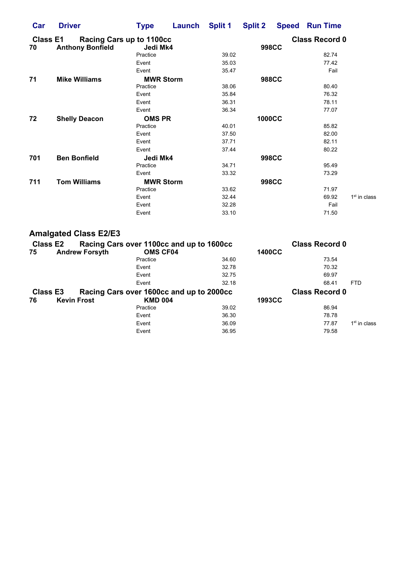| Car                   | <b>Driver</b>                                       | <b>Type</b>      |          | Launch Split 1 | <b>Split 2</b>                        |              | <b>Speed Run Time</b> |                |  |  |  |
|-----------------------|-----------------------------------------------------|------------------|----------|----------------|---------------------------------------|--------------|-----------------------|----------------|--|--|--|
| <b>Class E1</b><br>70 | Racing Cars up to 1100cc<br><b>Anthony Bonfield</b> |                  | Jedi Mk4 |                | <b>Class Record 0</b><br><b>998CC</b> |              |                       |                |  |  |  |
|                       |                                                     | Practice         |          | 39.02          |                                       |              | 82.74                 |                |  |  |  |
|                       |                                                     | Event            |          | 35.03          |                                       |              | 77.42                 |                |  |  |  |
|                       |                                                     | Event            |          | 35.47          |                                       |              | Fail                  |                |  |  |  |
| 71                    | <b>Mike Williams</b>                                | <b>MWR Storm</b> |          |                |                                       | <b>988CC</b> |                       |                |  |  |  |
|                       |                                                     | Practice         |          | 38.06          |                                       |              | 80.40                 |                |  |  |  |
|                       |                                                     | Event            |          | 35.84          |                                       |              | 76.32                 |                |  |  |  |
|                       |                                                     | Event            |          | 36.31          |                                       |              | 78.11                 |                |  |  |  |
|                       |                                                     | Event            |          | 36.34          |                                       |              | 77.07                 |                |  |  |  |
| 72                    | <b>Shelly Deacon</b>                                | <b>OMS PR</b>    |          |                | <b>1000CC</b>                         |              |                       |                |  |  |  |
|                       |                                                     | Practice         |          | 40.01          |                                       |              | 85.82                 |                |  |  |  |
|                       |                                                     | Event            |          | 37.50          |                                       |              | 82.00                 |                |  |  |  |
|                       |                                                     | Event            |          | 37.71          |                                       |              | 82.11                 |                |  |  |  |
|                       |                                                     | Event            |          | 37.44          |                                       |              | 80.22                 |                |  |  |  |
| 701                   | <b>Ben Bonfield</b>                                 | Jedi Mk4         |          |                |                                       | <b>998CC</b> |                       |                |  |  |  |
|                       |                                                     | Practice         |          | 34.71          |                                       |              | 95.49                 |                |  |  |  |
|                       |                                                     | Event            |          | 33.32          |                                       |              | 73.29                 |                |  |  |  |
| 711                   | <b>Tom Williams</b>                                 | <b>MWR Storm</b> |          |                |                                       | <b>998CC</b> |                       |                |  |  |  |
|                       |                                                     | Practice         |          | 33.62          |                                       |              | 71.97                 |                |  |  |  |
|                       |                                                     | Event            |          | 32.44          |                                       |              | 69.92                 | $1st$ in class |  |  |  |
|                       |                                                     | Event            |          | 32.28          |                                       |              | Fail                  |                |  |  |  |
|                       |                                                     | Event            |          | 33.10          |                                       |              | 71.50                 |                |  |  |  |

## Amalgated Class E2/E3

| <b>Class E2</b> |                       | Racing Cars over 1100cc and up to 1600cc |       |               | <b>Class Record 0</b> |                |
|-----------------|-----------------------|------------------------------------------|-------|---------------|-----------------------|----------------|
| 75              | <b>Andrew Forsyth</b> | <b>OMS CF04</b>                          |       | <b>1400CC</b> |                       |                |
|                 |                       | Practice                                 | 34.60 |               | 73.54                 |                |
|                 |                       | Event                                    | 32.78 |               | 70.32                 |                |
|                 |                       | Event                                    | 32.75 |               | 69.97                 |                |
|                 |                       | Event                                    | 32.18 |               | 68.41                 | <b>FTD</b>     |
| <b>Class E3</b> |                       | Racing Cars over 1600cc and up to 2000cc |       |               | <b>Class Record 0</b> |                |
| 76              | <b>Kevin Frost</b>    | <b>KMD 004</b>                           |       | <b>1993CC</b> |                       |                |
|                 |                       | Practice                                 | 39.02 |               | 86.94                 |                |
|                 |                       | Event                                    | 36.30 |               | 78.78                 |                |
|                 |                       | Event                                    | 36.09 |               | 77.87                 | $1st$ in class |
|                 |                       | Event                                    | 36.95 |               | 79.58                 |                |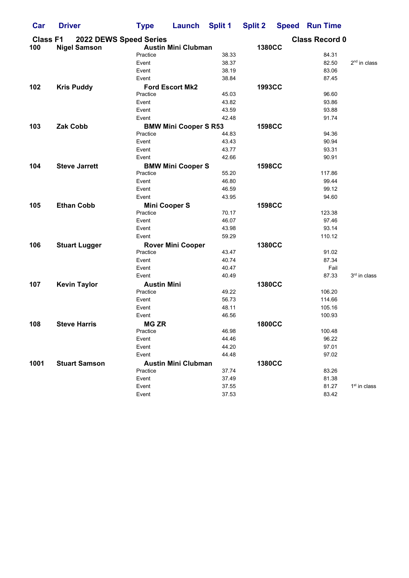| Car             | <b>Driver</b>        | <b>Type</b>            | Launch                       | <b>Split 1</b> | <b>Split 2</b> | <b>Speed Run Time</b> |                |
|-----------------|----------------------|------------------------|------------------------------|----------------|----------------|-----------------------|----------------|
| <b>Class F1</b> |                      | 2022 DEWS Speed Series |                              |                |                | <b>Class Record 0</b> |                |
| 100             | <b>Nigel Samson</b>  |                        | <b>Austin Mini Clubman</b>   |                | <b>1380CC</b>  |                       |                |
|                 |                      | Practice               |                              | 38.33          |                | 84.31                 |                |
|                 |                      | Event                  |                              | 38.37          |                | 82.50                 | $2nd$ in class |
|                 |                      | Event                  |                              | 38.19          |                | 83.06                 |                |
|                 |                      | Event                  |                              | 38.84          |                | 87.45                 |                |
| 102             | <b>Kris Puddy</b>    |                        | <b>Ford Escort Mk2</b>       |                | <b>1993CC</b>  |                       |                |
|                 |                      | Practice               |                              | 45.03          |                | 96.60                 |                |
|                 |                      | Event                  |                              | 43.82          |                | 93.86                 |                |
|                 |                      | Event                  |                              | 43.59          |                | 93.88                 |                |
|                 |                      | Event                  |                              | 42.48          |                | 91.74                 |                |
| 103             | <b>Zak Cobb</b>      |                        | <b>BMW Mini Cooper S R53</b> |                | <b>1598CC</b>  |                       |                |
|                 |                      | Practice               |                              | 44.83          |                | 94.36                 |                |
|                 |                      | Event                  |                              | 43.43          |                | 90.94                 |                |
|                 |                      | Event                  |                              | 43.77          |                | 93.31                 |                |
|                 |                      | Event                  |                              | 42.66          |                | 90.91                 |                |
| 104             | <b>Steve Jarrett</b> |                        |                              |                | <b>1598CC</b>  |                       |                |
|                 |                      | Practice               | <b>BMW Mini Cooper S</b>     | 55.20          |                | 117.86                |                |
|                 |                      | Event                  |                              | 46.80          |                | 99.44                 |                |
|                 |                      | Event                  |                              | 46.59          |                | 99.12                 |                |
|                 |                      |                        |                              |                |                |                       |                |
|                 |                      | Event                  |                              | 43.95          |                | 94.60                 |                |
| 105             | <b>Ethan Cobb</b>    |                        | <b>Mini Cooper S</b>         |                | <b>1598CC</b>  |                       |                |
|                 |                      | Practice               |                              | 70.17          |                | 123.38                |                |
|                 |                      | Event                  |                              | 46.07          |                | 97.46                 |                |
|                 |                      | Event                  |                              | 43.98          |                | 93.14                 |                |
|                 |                      | Event                  |                              | 59.29          |                | 110.12                |                |
| 106             | <b>Stuart Lugger</b> |                        | <b>Rover Mini Cooper</b>     |                | <b>1380CC</b>  |                       |                |
|                 |                      | Practice               |                              | 43.47          |                | 91.02                 |                |
|                 |                      | Event                  |                              | 40.74          |                | 87.34                 |                |
|                 |                      | Event                  |                              | 40.47          |                | Fail                  |                |
|                 |                      | Event                  |                              | 40.49          |                | 87.33                 | 3rd in class   |
| 107             | <b>Kevin Taylor</b>  | <b>Austin Mini</b>     |                              |                | <b>1380CC</b>  |                       |                |
|                 |                      | Practice               |                              | 49.22          |                | 106.20                |                |
|                 |                      | Event                  |                              | 56.73          |                | 114.66                |                |
|                 |                      | Event                  |                              | 48.11          |                | 105.16                |                |
|                 |                      | Event                  |                              | 46.56          |                | 100.93                |                |
| 108             | <b>Steve Harris</b>  | <b>MG ZR</b>           |                              |                | <b>1800CC</b>  |                       |                |
|                 |                      | Practice               |                              | 46.98          |                | 100.48                |                |
|                 |                      | Event                  |                              | 44.46          |                | 96.22                 |                |
|                 |                      | Event                  |                              | 44.20          |                | 97.01                 |                |
|                 |                      | Event                  |                              | 44.48          |                | 97.02                 |                |
| 1001            | <b>Stuart Samson</b> |                        | <b>Austin Mini Clubman</b>   |                | <b>1380CC</b>  |                       |                |
|                 |                      | Practice               |                              | 37.74          |                | 83.26                 |                |
|                 |                      | Event                  |                              | 37.49          |                | 81.38                 |                |
|                 |                      | Event                  |                              | 37.55          |                | 81.27                 | $1st$ in class |
|                 |                      | Event                  |                              | 37.53          |                | 83.42                 |                |
|                 |                      |                        |                              |                |                |                       |                |